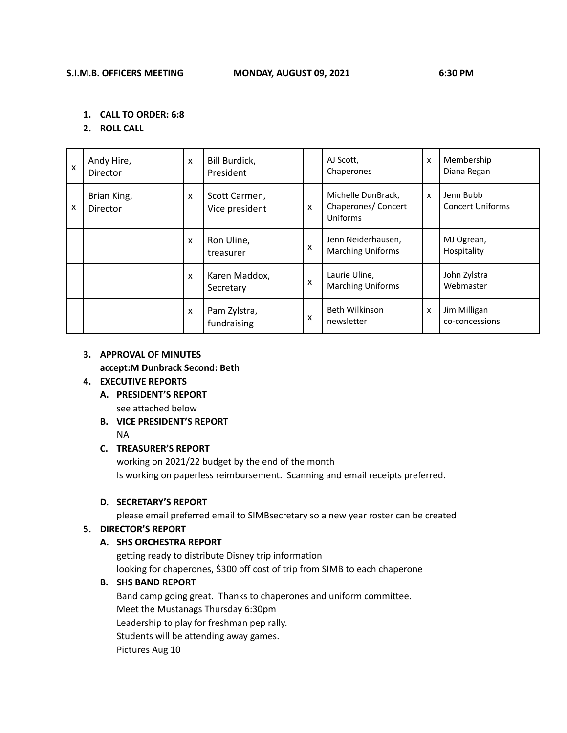#### **1. CALL TO ORDER: 6:8**

### **2. ROLL CALL**

| X | Andy Hire,<br><b>Director</b> | X                         | Bill Burdick,<br>President      |   | AJ Scott,<br>Chaperones                               | x | Membership<br>Diana Regan            |
|---|-------------------------------|---------------------------|---------------------------------|---|-------------------------------------------------------|---|--------------------------------------|
| X | Brian King,<br>Director       | X                         | Scott Carmen,<br>Vice president | x | Michelle DunBrack,<br>Chaperones/ Concert<br>Uniforms | X | Jenn Bubb<br><b>Concert Uniforms</b> |
|   |                               | X                         | Ron Uline,<br>treasurer         | x | Jenn Neiderhausen,<br><b>Marching Uniforms</b>        |   | MJ Ogrean,<br>Hospitality            |
|   |                               | X                         | Karen Maddox,<br>Secretary      | x | Laurie Uline,<br><b>Marching Uniforms</b>             |   | John Zylstra<br>Webmaster            |
|   |                               | $\boldsymbol{\mathsf{x}}$ | Pam Zylstra,<br>fundraising     | X | Beth Wilkinson<br>newsletter                          | x | Jim Milligan<br>co-concessions       |

# **3. APPROVAL OF MINUTES accept:M Dunbrack Second: Beth**

## **4. EXECUTIVE REPORTS**

**A. PRESIDENT'S REPORT** see attached below

**B. VICE PRESIDENT'S REPORT** NA

#### **C. TREASURER'S REPORT**

working on 2021/22 budget by the end of the month Is working on paperless reimbursement. Scanning and email receipts preferred.

#### **D. SECRETARY'S REPORT**

please email preferred email to SIMBsecretary so a new year roster can be created

### **5. DIRECTOR'S REPORT**

#### **A. SHS ORCHESTRA REPORT**

getting ready to distribute Disney trip information looking for chaperones, \$300 off cost of trip from SIMB to each chaperone

## **B. SHS BAND REPORT**

Band camp going great. Thanks to chaperones and uniform committee. Meet the Mustanags Thursday 6:30pm Leadership to play for freshman pep rally. Students will be attending away games. Pictures Aug 10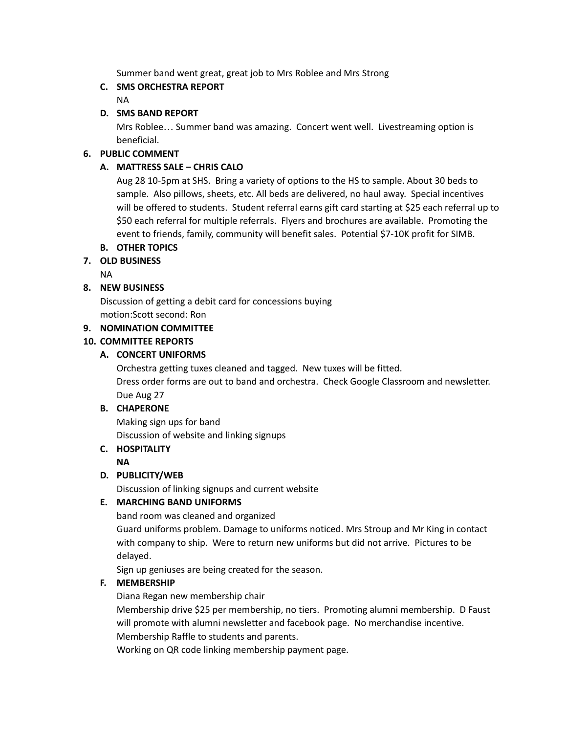Summer band went great, great job to Mrs Roblee and Mrs Strong

## **C. SMS ORCHESTRA REPORT**

NA

# **D. SMS BAND REPORT**

Mrs Roblee… Summer band was amazing. Concert went well. Livestreaming option is beneficial.

# **6. PUBLIC COMMENT**

# **A. MATTRESS SALE – CHRIS CALO**

Aug 28 10-5pm at SHS. Bring a variety of options to the HS to sample. About 30 beds to sample. Also pillows, sheets, etc. All beds are delivered, no haul away. Special incentives will be offered to students. Student referral earns gift card starting at \$25 each referral up to \$50 each referral for multiple referrals. Flyers and brochures are available. Promoting the event to friends, family, community will benefit sales. Potential \$7-10K profit for SIMB.

# **B. OTHER TOPICS**

# **7. OLD BUSINESS**

NA

## **8. NEW BUSINESS**

Discussion of getting a debit card for concessions buying motion:Scott second: Ron

## **9. NOMINATION COMMITTEE**

# **10. COMMITTEE REPORTS**

# **A. CONCERT UNIFORMS**

Orchestra getting tuxes cleaned and tagged. New tuxes will be fitted. Dress order forms are out to band and orchestra. Check Google Classroom and newsletter. Due Aug 27

## **B. CHAPERONE**

Making sign ups for band Discussion of website and linking signups

## **C. HOSPITALITY**

**NA**

## **D. PUBLICITY/WEB**

Discussion of linking signups and current website

# **E. MARCHING BAND UNIFORMS**

# band room was cleaned and organized

Guard uniforms problem. Damage to uniforms noticed. Mrs Stroup and Mr King in contact with company to ship. Were to return new uniforms but did not arrive. Pictures to be delayed.

Sign up geniuses are being created for the season.

# **F. MEMBERSHIP**

Diana Regan new membership chair

Membership drive \$25 per membership, no tiers. Promoting alumni membership. D Faust will promote with alumni newsletter and facebook page. No merchandise incentive. Membership Raffle to students and parents.

Working on QR code linking membership payment page.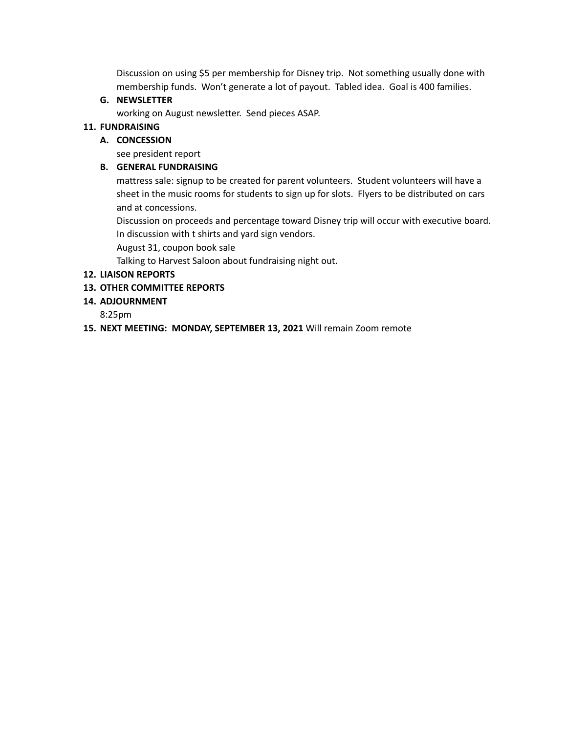Discussion on using \$5 per membership for Disney trip. Not something usually done with membership funds. Won't generate a lot of payout. Tabled idea. Goal is 400 families.

### **G. NEWSLETTER**

working on August newsletter. Send pieces ASAP.

### **11. FUNDRAISING**

### **A. CONCESSION**

see president report

### **B. GENERAL FUNDRAISING**

mattress sale: signup to be created for parent volunteers. Student volunteers will have a sheet in the music rooms for students to sign up for slots. Flyers to be distributed on cars and at concessions.

Discussion on proceeds and percentage toward Disney trip will occur with executive board. In discussion with t shirts and yard sign vendors.

August 31, coupon book sale

Talking to Harvest Saloon about fundraising night out.

**12. LIAISON REPORTS**

## **13. OTHER COMMITTEE REPORTS**

**14. ADJOURNMENT**

8:25pm

**15. NEXT MEETING: MONDAY, SEPTEMBER 13, 2021** Will remain Zoom remote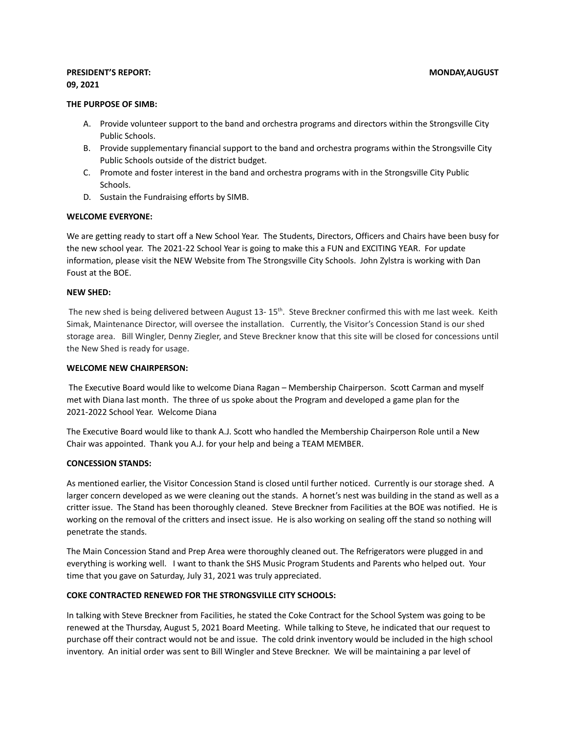#### **PRESIDENT'S REPORT: MONDAY,AUGUST 09, 2021**

#### **THE PURPOSE OF SIMB:**

- A. Provide volunteer support to the band and orchestra programs and directors within the Strongsville City Public Schools.
- B. Provide supplementary financial support to the band and orchestra programs within the Strongsville City Public Schools outside of the district budget.
- C. Promote and foster interest in the band and orchestra programs with in the Strongsville City Public Schools.
- D. Sustain the Fundraising efforts by SIMB.

#### **WELCOME EVERYONE:**

We are getting ready to start off a New School Year. The Students, Directors, Officers and Chairs have been busy for the new school year. The 2021-22 School Year is going to make this a FUN and EXCITING YEAR. For update information, please visit the NEW Website from The Strongsville City Schools. John Zylstra is working with Dan Foust at the BOE.

#### **NEW SHED:**

The new shed is being delivered between August 13-15<sup>th</sup>. Steve Breckner confirmed this with me last week. Keith Simak, Maintenance Director, will oversee the installation. Currently, the Visitor's Concession Stand is our shed storage area. Bill Wingler, Denny Ziegler, and Steve Breckner know that this site will be closed for concessions until the New Shed is ready for usage.

#### **WELCOME NEW CHAIRPERSON:**

The Executive Board would like to welcome Diana Ragan – Membership Chairperson. Scott Carman and myself met with Diana last month. The three of us spoke about the Program and developed a game plan for the 2021-2022 School Year. Welcome Diana

The Executive Board would like to thank A.J. Scott who handled the Membership Chairperson Role until a New Chair was appointed. Thank you A.J. for your help and being a TEAM MEMBER.

#### **CONCESSION STANDS:**

As mentioned earlier, the Visitor Concession Stand is closed until further noticed. Currently is our storage shed. A larger concern developed as we were cleaning out the stands. A hornet's nest was building in the stand as well as a critter issue. The Stand has been thoroughly cleaned. Steve Breckner from Facilities at the BOE was notified. He is working on the removal of the critters and insect issue. He is also working on sealing off the stand so nothing will penetrate the stands.

The Main Concession Stand and Prep Area were thoroughly cleaned out. The Refrigerators were plugged in and everything is working well. I want to thank the SHS Music Program Students and Parents who helped out. Your time that you gave on Saturday, July 31, 2021 was truly appreciated.

#### **COKE CONTRACTED RENEWED FOR THE STRONGSVILLE CITY SCHOOLS:**

In talking with Steve Breckner from Facilities, he stated the Coke Contract for the School System was going to be renewed at the Thursday, August 5, 2021 Board Meeting. While talking to Steve, he indicated that our request to purchase off their contract would not be and issue. The cold drink inventory would be included in the high school inventory. An initial order was sent to Bill Wingler and Steve Breckner. We will be maintaining a par level of